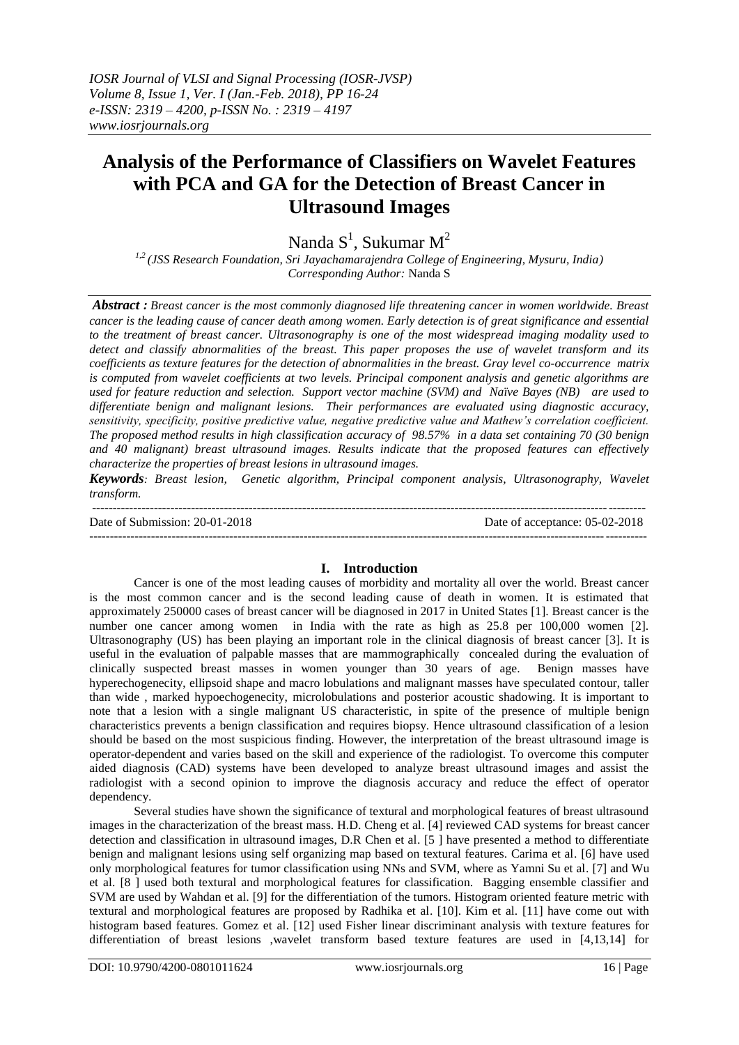# **Analysis of the Performance of Classifiers on Wavelet Features with PCA and GA for the Detection of Breast Cancer in Ultrasound Images**

Nanda  $S^1$ , Sukumar M<sup>2</sup>

*1,2 (JSS Research Foundation, Sri Jayachamarajendra College of Engineering, Mysuru, India) Corresponding Author:* Nanda S

*Abstract : Breast cancer is the most commonly diagnosed life threatening cancer in women worldwide. Breast cancer is the leading cause of cancer death among women. Early detection is of great significance and essential to the treatment of breast cancer. Ultrasonography is one of the most widespread imaging modality used to detect and classify abnormalities of the breast. This paper proposes the use of wavelet transform and its coefficients as texture features for the detection of abnormalities in the breast. Gray level co-occurrence matrix is computed from wavelet coefficients at two levels. Principal component analysis and genetic algorithms are used for feature reduction and selection. Support vector machine (SVM) and Naïve Bayes (NB) are used to differentiate benign and malignant lesions. Their performances are evaluated using diagnostic accuracy, sensitivity, specificity, positive predictive value, negative predictive value and Mathew's correlation coefficient. The proposed method results in high classification accuracy of 98.57% in a data set containing 70 (30 benign and 40 malignant) breast ultrasound images. Results indicate that the proposed features can effectively characterize the properties of breast lesions in ultrasound images.*

*Keywords: Breast lesion, Genetic algorithm, Principal component analysis, Ultrasonography, Wavelet transform.*

-------------------------------------------------------------------------------------------------------------------------------------- Date of Submission: 20-01-2018 Date of acceptance: 05-02-2018 ---------------------------------------------------------------------------------------------------------------------------------------

# **I. Introduction**

Cancer is one of the most leading causes of morbidity and mortality all over the world. Breast cancer is the most common cancer and is the second leading cause of death in women. It is estimated that approximately 250000 cases of breast cancer will be diagnosed in 2017 in United States [1]. Breast cancer is the number one cancer among women in India with the rate as high as 25.8 per 100,000 women [2]. Ultrasonography (US) has been playing an important role in the clinical diagnosis of breast cancer [3]. It is useful in the evaluation of palpable masses that are mammographically concealed during the evaluation of clinically suspected breast masses in women younger than 30 years of age. Benign masses have hyperechogenecity, ellipsoid shape and macro lobulations and malignant masses have speculated contour, taller than wide , marked hypoechogenecity, microlobulations and posterior acoustic shadowing. It is important to note that a lesion with a single malignant US characteristic, in spite of the presence of multiple benign characteristics prevents a benign classification and requires biopsy. Hence ultrasound classification of a lesion should be based on the most suspicious finding. However, the interpretation of the breast ultrasound image is operator-dependent and varies based on the skill and experience of the radiologist. To overcome this computer aided diagnosis (CAD) systems have been developed to analyze breast ultrasound images and assist the radiologist with a second opinion to improve the diagnosis accuracy and reduce the effect of operator dependency.

Several studies have shown the significance of textural and morphological features of breast ultrasound images in the characterization of the breast mass. H.D. Cheng et al. [4] reviewed CAD systems for breast cancer detection and classification in ultrasound images, D.R Chen et al. [5 ] have presented a method to differentiate benign and malignant lesions using self organizing map based on textural features. Carima et al. [6] have used only morphological features for tumor classification using NNs and SVM, where as Yamni Su et al. [7] and Wu et al. [8 ] used both textural and morphological features for classification. Bagging ensemble classifier and SVM are used by Wahdan et al. [9] for the differentiation of the tumors. Histogram oriented feature metric with textural and morphological features are proposed by Radhika et al. [10]. Kim et al. [11] have come out with histogram based features. Gomez et al. [12] used Fisher linear discriminant analysis with texture features for differentiation of breast lesions ,wavelet transform based texture features are used in [4,13,14] for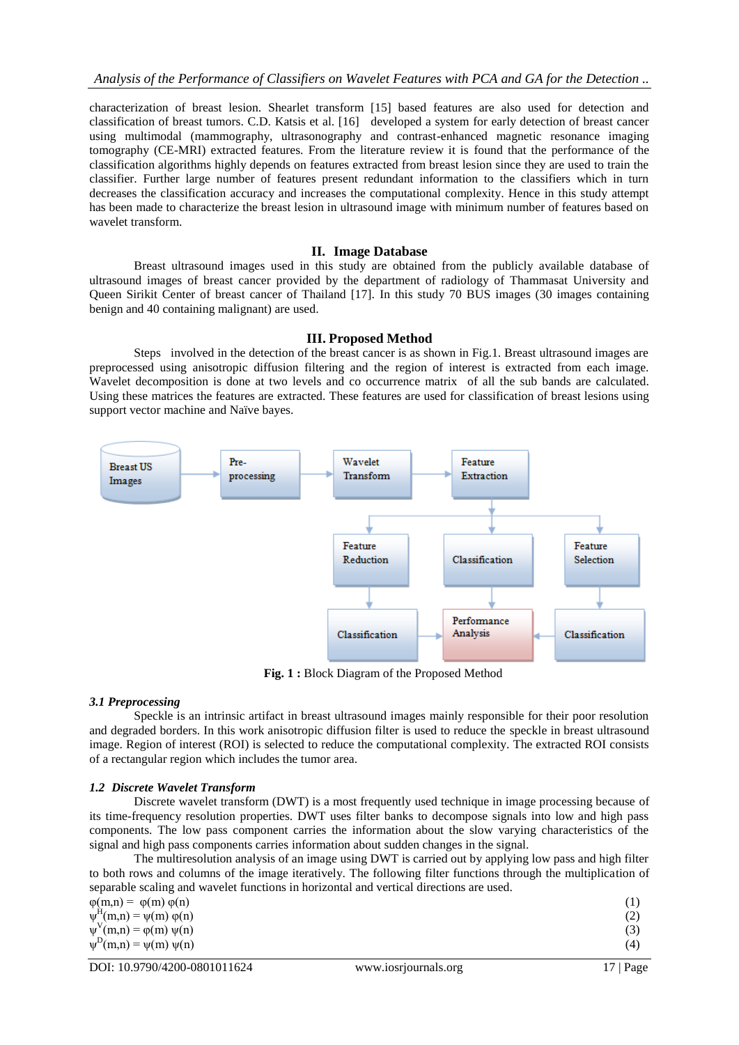characterization of breast lesion. Shearlet transform [15] based features are also used for detection and classification of breast tumors. C.D. Katsis et al. [16] developed a system for early detection of breast cancer using multimodal (mammography, ultrasonography and contrast-enhanced magnetic resonance imaging tomography (CE-MRI) extracted features. From the literature review it is found that the performance of the classification algorithms highly depends on features extracted from breast lesion since they are used to train the classifier. Further large number of features present redundant information to the classifiers which in turn decreases the classification accuracy and increases the computational complexity. Hence in this study attempt has been made to characterize the breast lesion in ultrasound image with minimum number of features based on wavelet transform.

## **II. Image Database**

Breast ultrasound images used in this study are obtained from the publicly available database of ultrasound images of breast cancer provided by the department of radiology of Thammasat University and Queen Sirikit Center of breast cancer of Thailand [17]. In this study 70 BUS images (30 images containing benign and 40 containing malignant) are used.

### **III. Proposed Method**

Steps involved in the detection of the breast cancer is as shown in Fig.1. Breast ultrasound images are preprocessed using anisotropic diffusion filtering and the region of interest is extracted from each image. Wavelet decomposition is done at two levels and co occurrence matrix of all the sub bands are calculated. Using these matrices the features are extracted. These features are used for classification of breast lesions using support vector machine and Naïve bayes.



**Fig. 1 :** Block Diagram of the Proposed Method

#### *3.1 Preprocessing*

Speckle is an intrinsic artifact in breast ultrasound images mainly responsible for their poor resolution and degraded borders. In this work anisotropic diffusion filter is used to reduce the speckle in breast ultrasound image. Region of interest (ROI) is selected to reduce the computational complexity. The extracted ROI consists of a rectangular region which includes the tumor area.

#### *1.2 Discrete Wavelet Transform*

Discrete wavelet transform (DWT) is a most frequently used technique in image processing because of its time-frequency resolution properties. DWT uses filter banks to decompose signals into low and high pass components. The low pass component carries the information about the slow varying characteristics of the signal and high pass components carries information about sudden changes in the signal.

The multiresolution analysis of an image using DWT is carried out by applying low pass and high filter to both rows and columns of the image iteratively. The following filter functions through the multiplication of separable scaling and wavelet functions in horizontal and vertical directions are used.

| $\psi^{\text{D}}(m,n) = \psi(m) \psi(n)$    | (4) |
|---------------------------------------------|-----|
| $\psi^V(m,n) = \varphi(m) \psi(n)$          |     |
|                                             |     |
|                                             | (2) |
| $\psi^{\text{H}}(m,n) = \psi(m) \varphi(n)$ |     |
| $\varphi(m,n) = \varphi(m) \varphi(n)$      |     |
|                                             |     |
|                                             |     |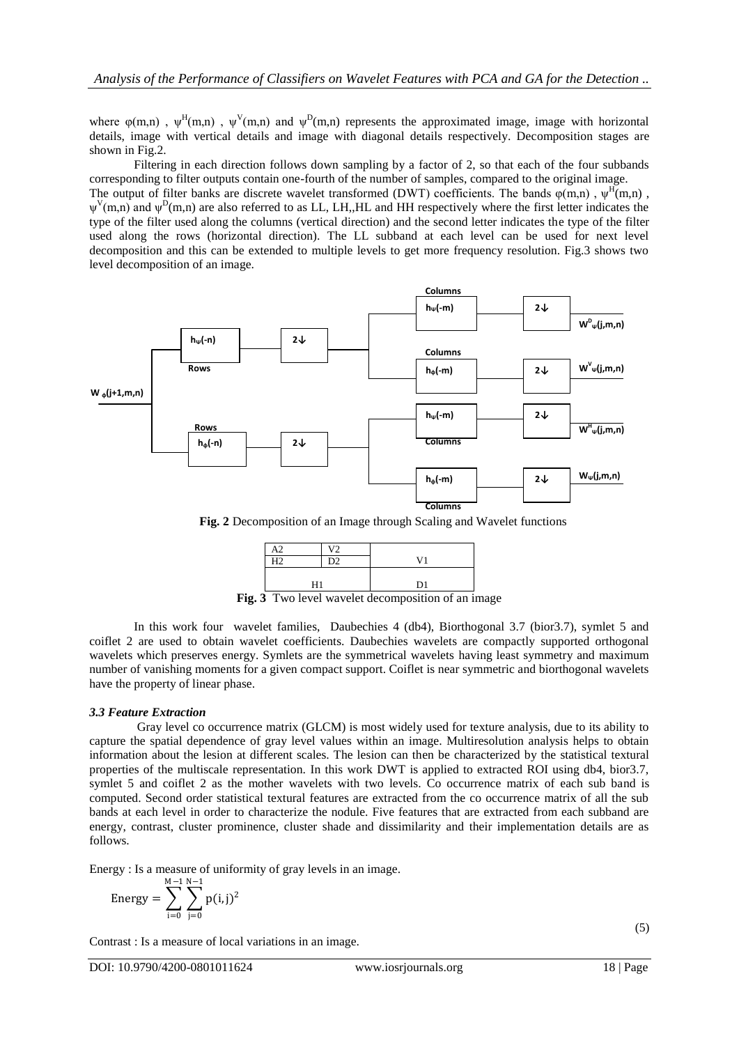where  $\varphi(m,n)$ ,  $\psi^H(m,n)$ ,  $\psi^V(m,n)$  and  $\psi^D(m,n)$  represents the approximated image, image with horizontal details, image with vertical details and image with diagonal details respectively. Decomposition stages are shown in Fig.2.

Filtering in each direction follows down sampling by a factor of 2, so that each of the four subbands corresponding to filter outputs contain one-fourth of the number of samples, compared to the original image.

The output of filter banks are discrete wavelet transformed (DWT) coefficients. The bands  $\varphi(m,n)$ ,  $\psi^H(m,n)$ ,  $\psi^V(m,n)$  and  $\psi^D(m,n)$  are also referred to as LL, LH,,HL and HH respectively where the first letter indicates the type of the filter used along the columns (vertical direction) and the second letter indicates the type of the filter used along the rows (horizontal direction). The LL subband at each level can be used for next level decomposition and this can be extended to multiple levels to get more frequency resolution. Fig.3 shows two level decomposition of an image.



**Fig. 2** Decomposition of an Image through Scaling and Wavelet functions



**Fig. 3** Two level wavelet decomposition of an image

In this work four wavelet families, Daubechies 4 (db4), Biorthogonal 3.7 (bior3.7), symlet 5 and coiflet 2 are used to obtain wavelet coefficients. Daubechies wavelets are compactly supported orthogonal wavelets which preserves energy. Symlets are the symmetrical wavelets having least symmetry and maximum number of vanishing moments for a given compact support. Coiflet is near symmetric and biorthogonal wavelets have the property of linear phase.

# *3.3 Feature Extraction*

Gray level co occurrence matrix (GLCM) is most widely used for texture analysis, due to its ability to capture the spatial dependence of gray level values within an image. Multiresolution analysis helps to obtain information about the lesion at different scales. The lesion can then be characterized by the statistical textural properties of the multiscale representation. In this work DWT is applied to extracted ROI using db4, bior3.7, symlet 5 and coiflet 2 as the mother wavelets with two levels. Co occurrence matrix of each sub band is computed. Second order statistical textural features are extracted from the co occurrence matrix of all the sub bands at each level in order to characterize the nodule. Five features that are extracted from each subband are energy, contrast, cluster prominence, cluster shade and dissimilarity and their implementation details are as follows.

Energy : Is a measure of uniformity of gray levels in an image.

Energy = 
$$
\sum_{i=0}^{M-1} \sum_{j=0}^{N-1} p(i, j)^2
$$

Contrast : Is a measure of local variations in an image.

(5)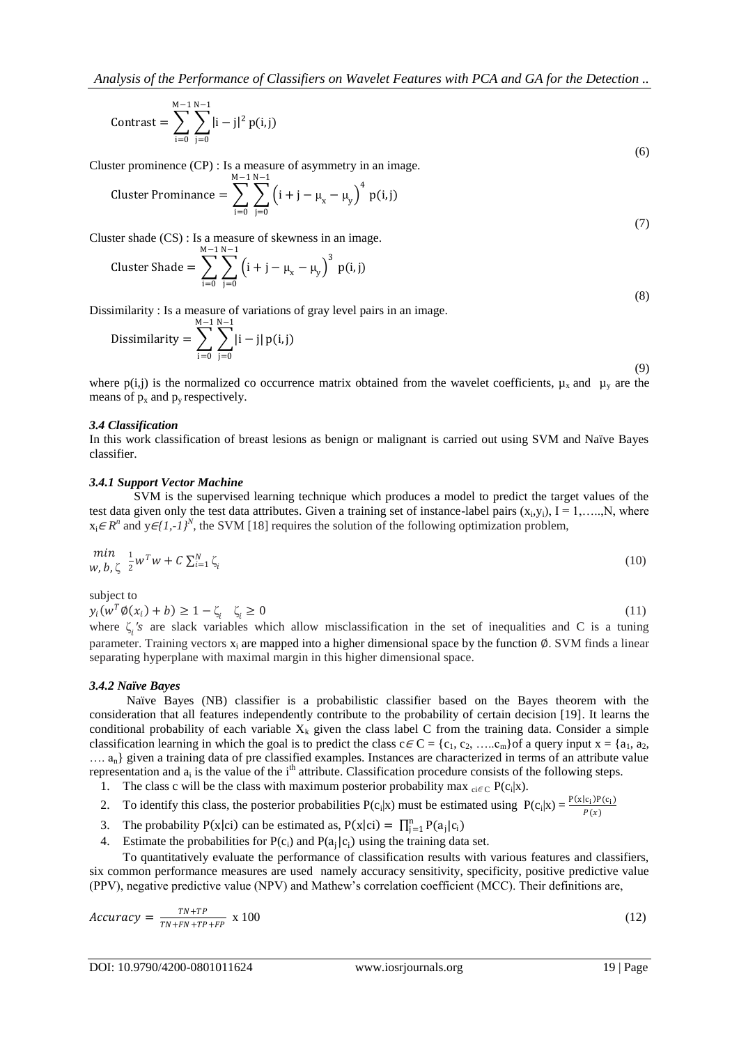Contrast = 
$$
\sum_{i=0}^{M-1} \sum_{j=0}^{N-1} |i-j|^2 p(i,j)
$$
 (6)

Cluster prominence (CP) : Is a measure of asymmetry in an image.

Cluster Prominance = 
$$
\sum_{i=0}^{M-1} \sum_{j=0}^{N-1} (i + j - \mu_{x} - \mu_{y})^{4} p(i, j)
$$

Cluster shade (CS) : Is a measure of skewness in an image.

Cluster Shade = 
$$
\sum_{i=0}^{M-1} \sum_{j=0}^{N-1} (i + j - \mu_x - \mu_y)^3 p(i, j)
$$
 (8)

Dissimilarity : Is a measure of variations of gray level pairs in an image.

Dissimilarity = 
$$
\sum_{i=0}^{M-1} \sum_{j=0}^{N-1} |i - j| p(i, j)
$$
 (9)

where  $p(i,j)$  is the normalized co occurrence matrix obtained from the wavelet coefficients,  $\mu_x$  and  $\mu_y$  are the means of  $p_x$  and  $p_y$  respectively.

#### *3.4 Classification*

In this work classification of breast lesions as benign or malignant is carried out using SVM and Naïve Bayes classifier.

#### *3.4.1 Support Vector Machine*

SVM is the supervised learning technique which produces a model to predict the target values of the test data given only the test data attributes. Given a training set of instance-label pairs  $(x_i, y_i)$ ,  $I = 1, \ldots, N$ , where  $x_i \in R^n$  and  $y \in \{1, -1\}^N$ , the SVM [18] requires the solution of the following optimization problem,

$$
\min_{W, b, \zeta} \frac{1}{2} w^T w + C \sum_{i=1}^N \zeta_i
$$
\n(10)

subject to

 $y_i(w^T \emptyset(x_i) + b) \geq 1 - \zeta_i \quad \zeta$  $z_i \ge 0$  (11)

where  $\zeta_i$ 's are slack variables which allow misclassification in the set of inequalities and C is a tuning parameter. Training vectors  $x_i$  are mapped into a higher dimensional space by the function  $\emptyset$ . SVM finds a linear separating hyperplane with maximal margin in this higher dimensional space.

#### *3.4.2 Naïve Bayes*

 Naïve Bayes (NB) classifier is a probabilistic classifier based on the Bayes theorem with the consideration that all features independently contribute to the probability of certain decision [19]. It learns the conditional probability of each variable  $X_k$  given the class label C from the training data. Consider a simple classification learning in which the goal is to predict the class  $c \in C = \{c_1, c_2, \ldots, c_m\}$  of a query input  $x = \{a_1, a_2, \ldots, a_m\}$ …. an} given a training data of pre classified examples. Instances are characterized in terms of an attribute value representation and  $a_i$  is the value of the i<sup>th</sup> attribute. Classification procedure consists of the following steps.

- 1. The class c will be the class with maximum posterior probability max  $_{ci\in C}P(c_i|x)$ .
- 2. To identify this class, the posterior probabilities  $P(c_i|x)$  must be estimated using  $P(c_i|x) = \frac{P(x|c_i)P(c_i)}{P(x)}$  $P(x)$
- 3. The probability  $P(x|ci)$  can be estimated as,  $P(x|ci) = \prod_{j=1}^{n} P(a_j|c_i)$
- 4. Estimate the probabilities for  $P(c_i)$  and  $P(a_j|c_i)$  using the training data set.

To quantitatively evaluate the performance of classification results with various features and classifiers, six common performance measures are used namely accuracy sensitivity, specificity, positive predictive value (PPV), negative predictive value (NPV) and Mathew's correlation coefficient (MCC). Their definitions are,

$$
Accuracy = \frac{TN + TP}{TN + FN + TP + FP} \times 100 \tag{12}
$$

(7)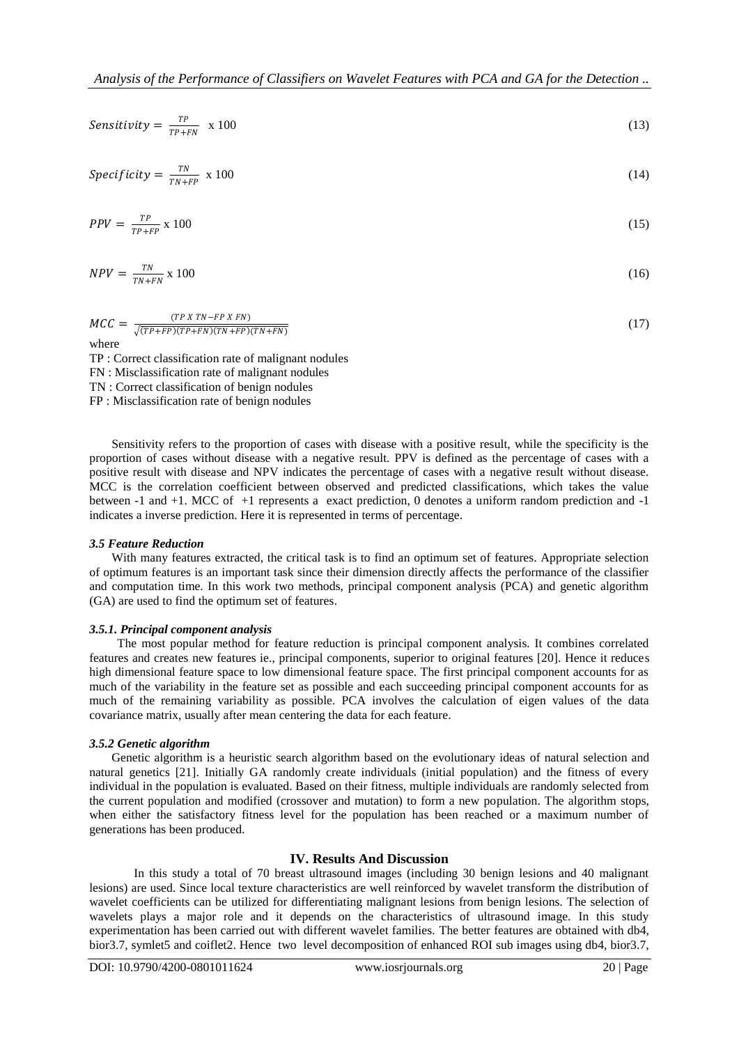$$
Sensitivity = \frac{TP}{TP+FN} \times 100 \tag{13}
$$

$$
Specificity = \frac{TN}{TN + FP} \times 100 \tag{14}
$$

$$
PPV = \frac{TP}{TP + FP} \times 100\tag{15}
$$

$$
NPV = \frac{TN}{TN + FN} \times 100 \tag{16}
$$

$$
MCC = \frac{(TP \times TN - FP \times FN)}{\sqrt{(TP + FP)(TP + FN)(TN + FP)(TN + FN)}}
$$
\n(17)

TP : Correct classification rate of malignant nodules FN : Misclassification rate of malignant nodules TN : Correct classification of benign nodules FP : Misclassification rate of benign nodules

Sensitivity refers to the proportion of cases with disease with a positive result, while the specificity is the proportion of cases without disease with a negative result. PPV is defined as the percentage of cases with a positive result with disease and NPV indicates the percentage of cases with a negative result without disease. MCC is the correlation coefficient between observed and predicted classifications, which takes the value between -1 and +1. MCC of +1 represents a exact prediction, 0 denotes a uniform random prediction and -1 indicates a inverse prediction. Here it is represented in terms of percentage.

#### *3.5 Feature Reduction*

With many features extracted, the critical task is to find an optimum set of features. Appropriate selection of optimum features is an important task since their dimension directly affects the performance of the classifier and computation time. In this work two methods, principal component analysis (PCA) and genetic algorithm (GA) are used to find the optimum set of features.

# *3.5.1. Principal component analysis*

The most popular method for feature reduction is principal component analysis. It combines correlated features and creates new features ie., principal components, superior to original features [20]. Hence it reduces high dimensional feature space to low dimensional feature space. The first principal component accounts for as much of the variability in the feature set as possible and each succeeding principal component accounts for as much of the remaining variability as possible. PCA involves the calculation of eigen values of the data covariance matrix, usually after mean centering the data for each feature.

#### *3.5.2 Genetic algorithm*

Genetic algorithm is a heuristic search algorithm based on the evolutionary ideas of natural selection and natural genetics [21]. Initially GA randomly create individuals (initial population) and the fitness of every individual in the population is evaluated. Based on their fitness, multiple individuals are randomly selected from the current population and modified (crossover and mutation) to form a new population. The algorithm stops, when either the satisfactory fitness level for the population has been reached or a maximum number of generations has been produced.

# **IV. Results And Discussion**

In this study a total of 70 breast ultrasound images (including 30 benign lesions and 40 malignant lesions) are used. Since local texture characteristics are well reinforced by wavelet transform the distribution of wavelet coefficients can be utilized for differentiating malignant lesions from benign lesions. The selection of wavelets plays a major role and it depends on the characteristics of ultrasound image. In this study experimentation has been carried out with different wavelet families. The better features are obtained with db4, bior3.7, symlet5 and coiflet2. Hence two level decomposition of enhanced ROI sub images using db4, bior3.7,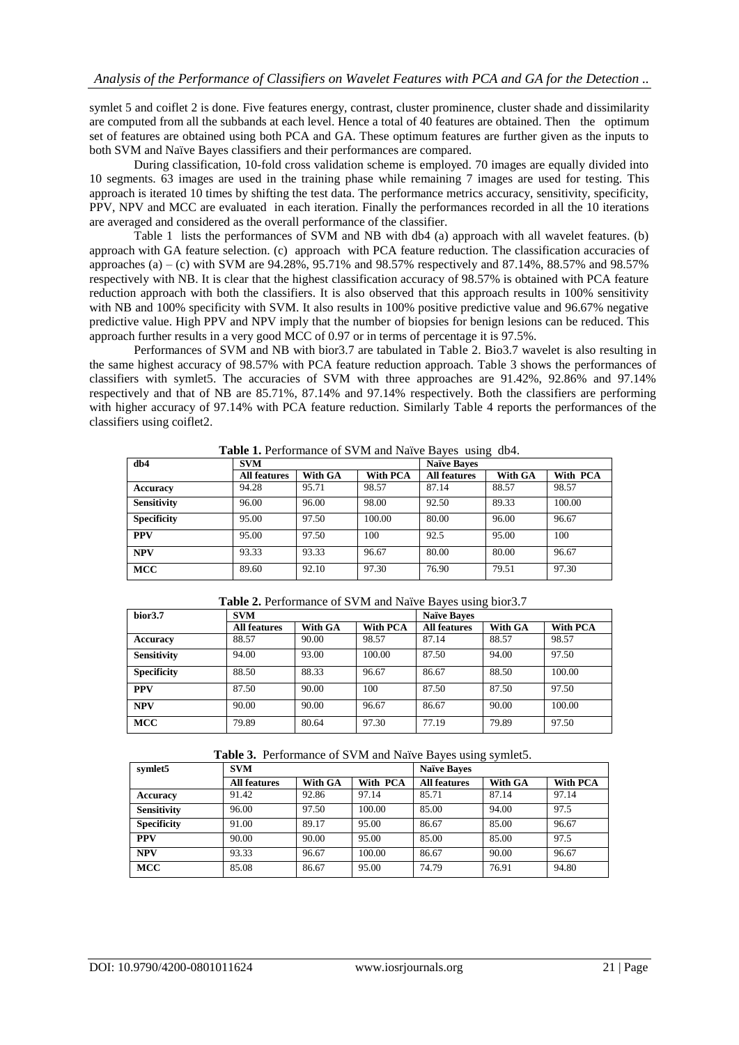symlet 5 and coiflet 2 is done. Five features energy, contrast, cluster prominence, cluster shade and dissimilarity are computed from all the subbands at each level. Hence a total of 40 features are obtained. Then the optimum set of features are obtained using both PCA and GA. These optimum features are further given as the inputs to both SVM and Naïve Bayes classifiers and their performances are compared.

During classification, 10-fold cross validation scheme is employed. 70 images are equally divided into 10 segments. 63 images are used in the training phase while remaining 7 images are used for testing. This approach is iterated 10 times by shifting the test data. The performance metrics accuracy, sensitivity, specificity, PPV, NPV and MCC are evaluated in each iteration. Finally the performances recorded in all the 10 iterations are averaged and considered as the overall performance of the classifier.

Table 1 lists the performances of SVM and NB with db4 (a) approach with all wavelet features. (b) approach with GA feature selection. (c) approach with PCA feature reduction. The classification accuracies of approaches (a) – (c) with SVM are 94.28%, 95.71% and 98.57% respectively and 87.14%, 88.57% and 98.57% respectively with NB. It is clear that the highest classification accuracy of 98.57% is obtained with PCA feature reduction approach with both the classifiers. It is also observed that this approach results in 100% sensitivity with NB and 100% specificity with SVM. It also results in 100% positive predictive value and 96.67% negative predictive value. High PPV and NPV imply that the number of biopsies for benign lesions can be reduced. This approach further results in a very good MCC of 0.97 or in terms of percentage it is 97.5%.

Performances of SVM and NB with bior3.7 are tabulated in Table 2. Bio3.7 wavelet is also resulting in the same highest accuracy of 98.57% with PCA feature reduction approach. Table 3 shows the performances of classifiers with symlet5. The accuracies of SVM with three approaches are 91.42%, 92.86% and 97.14% respectively and that of NB are 85.71%, 87.14% and 97.14% respectively. Both the classifiers are performing with higher accuracy of 97.14% with PCA feature reduction. Similarly Table 4 reports the performances of the classifiers using coiflet2.

| db4                | <b>SVM</b>          |         |          | <b>Naïve Bayes</b>  |         |          |
|--------------------|---------------------|---------|----------|---------------------|---------|----------|
|                    | <b>All features</b> | With GA | With PCA | <b>All features</b> | With GA | With PCA |
| <b>Accuracy</b>    | 94.28               | 95.71   | 98.57    | 87.14               | 88.57   | 98.57    |
| <b>Sensitivity</b> | 96.00               | 96.00   | 98.00    | 92.50               | 89.33   | 100.00   |
| <b>Specificity</b> | 95.00               | 97.50   | 100.00   | 80.00               | 96.00   | 96.67    |
| <b>PPV</b>         | 95.00               | 97.50   | 100      | 92.5                | 95.00   | 100      |
| <b>NPV</b>         | 93.33               | 93.33   | 96.67    | 80.00               | 80.00   | 96.67    |
| <b>MCC</b>         | 89.60               | 92.10   | 97.30    | 76.90               | 79.51   | 97.30    |

**Table 1.** Performance of SVM and Naïve Bayes using db4.

**Table 2.** Performance of SVM and Naïve Bayes using bior3.7

| bior <sub>3.7</sub> | <b>SVM</b>          |         |                 | <b>Naïve Bayes</b>  |         |          |
|---------------------|---------------------|---------|-----------------|---------------------|---------|----------|
|                     | <b>All features</b> | With GA | <b>With PCA</b> | <b>All features</b> | With GA | With PCA |
| Accuracy            | 88.57               | 90.00   | 98.57           | 87.14               | 88.57   | 98.57    |
| <b>Sensitivity</b>  | 94.00               | 93.00   | 100.00          | 87.50               | 94.00   | 97.50    |
| <b>Specificity</b>  | 88.50               | 88.33   | 96.67           | 86.67               | 88.50   | 100.00   |
| <b>PPV</b>          | 87.50               | 90.00   | 100             | 87.50               | 87.50   | 97.50    |
| <b>NPV</b>          | 90.00               | 90.00   | 96.67           | 86.67               | 90.00   | 100.00   |
| <b>MCC</b>          | 79.89               | 80.64   | 97.30           | 77.19               | 79.89   | 97.50    |

**Table 3.** Performance of SVM and Naïve Bayes using symlet5.

| symlet5            | <b>SVM</b>          |         |          | <b>Naïve Bayes</b>  |         |          |
|--------------------|---------------------|---------|----------|---------------------|---------|----------|
|                    | <b>All features</b> | With GA | With PCA | <b>All features</b> | With GA | With PCA |
| Accuracy           | 91.42               | 92.86   | 97.14    | 85.71               | 87.14   | 97.14    |
| <b>Sensitivity</b> | 96.00               | 97.50   | 100.00   | 85.00               | 94.00   | 97.5     |
| <b>Specificity</b> | 91.00               | 89.17   | 95.00    | 86.67               | 85.00   | 96.67    |
| <b>PPV</b>         | 90.00               | 90.00   | 95.00    | 85.00               | 85.00   | 97.5     |
| <b>NPV</b>         | 93.33               | 96.67   | 100.00   | 86.67               | 90.00   | 96.67    |
| <b>MCC</b>         | 85.08               | 86.67   | 95.00    | 74.79               | 76.91   | 94.80    |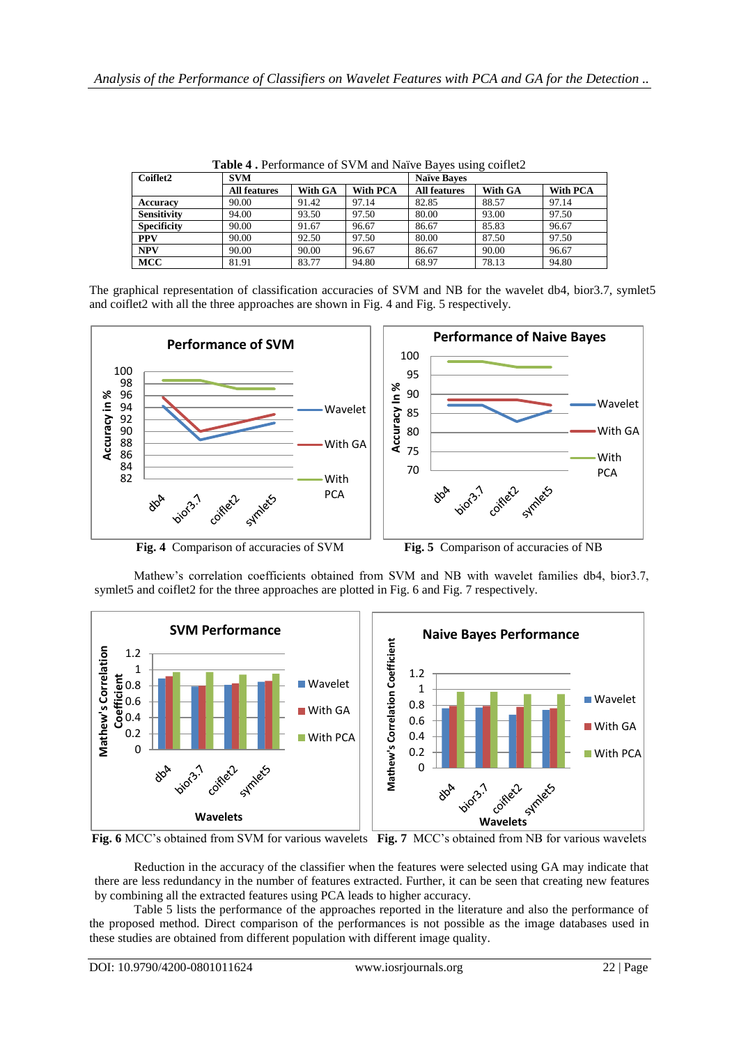| <b>Table 4.</b> Performance of SVM and Naive Bayes using collier |                     |         |                 |                     |         |          |  |
|------------------------------------------------------------------|---------------------|---------|-----------------|---------------------|---------|----------|--|
| Coiflet2                                                         | <b>SVM</b>          |         |                 | <b>Naïve Baves</b>  |         |          |  |
|                                                                  | <b>All features</b> | With GA | <b>With PCA</b> | <b>All features</b> | With GA | With PCA |  |
| <b>Accuracy</b>                                                  | 90.00               | 91.42   | 97.14           | 82.85               | 88.57   | 97.14    |  |
| <b>Sensitivity</b>                                               | 94.00               | 93.50   | 97.50           | 80.00               | 93.00   | 97.50    |  |
| <b>Specificity</b>                                               | 90.00               | 91.67   | 96.67           | 86.67               | 85.83   | 96.67    |  |
| <b>PPV</b>                                                       | 90.00               | 92.50   | 97.50           | 80.00               | 87.50   | 97.50    |  |
| <b>NPV</b>                                                       | 90.00               | 90.00   | 96.67           | 86.67               | 90.00   | 96.67    |  |
| <b>MCC</b>                                                       | 81.91               | 83.77   | 94.80           | 68.97               | 78.13   | 94.80    |  |

**Table 4 .** Performance of SVM and Naïve Bayes using coiflet2

The graphical representation of classification accuracies of SVM and NB for the wavelet db4, bior3.7, symlet5 and coiflet2 with all the three approaches are shown in Fig. 4 and Fig. 5 respectively.



Mathew's correlation coefficients obtained from SVM and NB with wavelet families db4, bior3.7,

symlet5 and coiflet2 for the three approaches are plotted in Fig. 6 and Fig. 7 respectively.



**Fig. 6** MCC's obtained from SVM for various wavelets **Fig. 7** MCC's obtained from NB for various wavelets

Reduction in the accuracy of the classifier when the features were selected using GA may indicate that there are less redundancy in the number of features extracted. Further, it can be seen that creating new features by combining all the extracted features using PCA leads to higher accuracy.

Table 5 lists the performance of the approaches reported in the literature and also the performance of the proposed method. Direct comparison of the performances is not possible as the image databases used in these studies are obtained from different population with different image quality.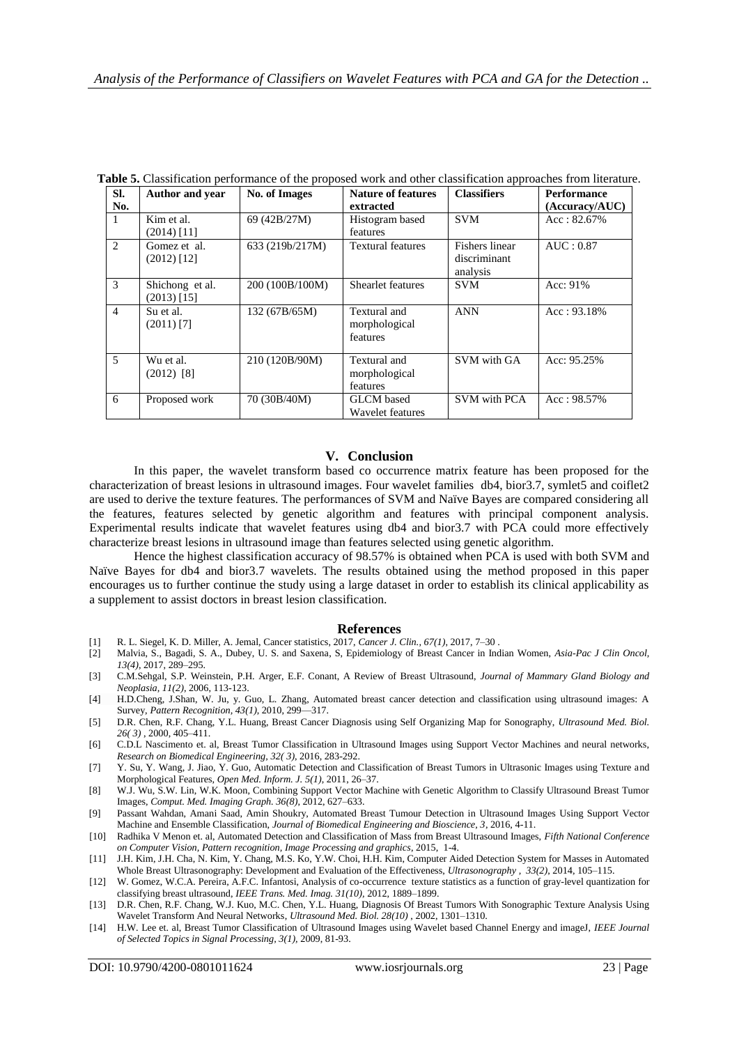| SI.            | <b>Author</b> and year           | <b>No. of Images</b> | <b>Nature of features</b>                 | <b>Classifiers</b>                         | Performance    |
|----------------|----------------------------------|----------------------|-------------------------------------------|--------------------------------------------|----------------|
| No.            |                                  |                      | extracted                                 |                                            | (Accuracy/AUC) |
| $\mathbf{1}$   | Kim et al.<br>$(2014)$ [11]      | 69 (42B/27M)         | Histogram based<br>features               | <b>SVM</b>                                 | $Acc: 82.67\%$ |
| $\overline{2}$ | Gomez et al.<br>$(2012)$ [12]    | 633 (219b/217M)      | <b>Textural features</b>                  | Fishers linear<br>discriminant<br>analysis | AUC: 0.87      |
| 3              | Shichong et al.<br>$(2013)$ [15] | 200 (100B/100M)      | Shearlet features                         | <b>SVM</b>                                 | Acc: 91%       |
| $\overline{4}$ | Su et al.<br>$(2011)$ [7]        | 132 (67B/65M)        | Textural and<br>morphological<br>features | <b>ANN</b>                                 | Acc: 93.18%    |
| $\overline{5}$ | Wu et al.<br>$(2012)$ [8]        | 210 (120B/90M)       | Textural and<br>morphological<br>features | SVM with GA                                | Acc: 95.25%    |
| 6              | Proposed work                    | 70 (30B/40M)         | GLCM based<br>Wavelet features            | <b>SVM</b> with PCA                        | $Acc: 98.57\%$ |

**Table 5.** Classification performance of the proposed work and other classification approaches from literature.

# **V. Conclusion**

In this paper, the wavelet transform based co occurrence matrix feature has been proposed for the characterization of breast lesions in ultrasound images. Four wavelet families db4, bior3.7, symlet5 and coiflet2 are used to derive the texture features. The performances of SVM and Naïve Bayes are compared considering all the features, features selected by genetic algorithm and features with principal component analysis. Experimental results indicate that wavelet features using db4 and bior3.7 with PCA could more effectively characterize breast lesions in ultrasound image than features selected using genetic algorithm.

Hence the highest classification accuracy of 98.57% is obtained when PCA is used with both SVM and Naïve Bayes for db4 and bior3.7 wavelets. The results obtained using the method proposed in this paper encourages us to further continue the study using a large dataset in order to establish its clinical applicability as a supplement to assist doctors in breast lesion classification.

#### **References**

- [1] R. L. Siegel, K. D. Miller, A. Jemal, Cancer statistics, 2017, *Cancer J. Clin., 67(1)*, 2017, 7–30 .
- [2] Malvia, S., Bagadi, S. A., Dubey, U. S. and Saxena, S, Epidemiology of Breast Cancer in Indian Women, *Asia-Pac J Clin Oncol, 13(4)*, 2017, 289–295.
- [3] C.M.Sehgal, S.P. Weinstein, P.H. Arger, E.F. Conant, A Review of Breast Ultrasound, *Journal of Mammary Gland Biology and Neoplasia, 11(2)*, 2006, 113-123.
- [4] H.D.Cheng, J.Shan, W. Ju, y. Guo, L. Zhang, Automated breast cancer detection and classification using ultrasound images: A Survey, *Pattern Recognition, 43(1)*, 2010, 299—317.
- [5] D.R. Chen, R.F. Chang, Y.L. Huang, Breast Cancer Diagnosis using Self Organizing Map for Sonography, *Ultrasound Med. Biol. 26( 3)* , 2000, 405–411.
- [6] C.D.L Nascimento et. al, Breast Tumor Classification in Ultrasound Images using Support Vector Machines and neural networks, *Research on Biomedical Engineering, 32( 3)*, 2016, 283-292.
- [7] Y. Su, Y. Wang, J. Jiao, Y. Guo, Automatic Detection and Classification of Breast Tumors in Ultrasonic Images using Texture and Morphological Features, *Open Med. Inform. J. 5(1)*, 2011, 26–37.
- [8] W.J. Wu, S.W. Lin, W.K. Moon, Combining Support Vector Machine with Genetic Algorithm to Classify Ultrasound Breast Tumor Images, *Comput. Med. Imaging Graph. 36(8)*, 2012, 627–633.
- [9] Passant Wahdan, Amani Saad, Amin Shoukry, Automated Breast Tumour Detection in Ultrasound Images Using Support Vector Machine and Ensemble Classification, *Journal of Biomedical Engineering and Bioscience, 3*, 2016, 4-11.
- [10] Radhika V Menon et. al, Automated Detection and Classification of Mass from Breast Ultrasound Images, *Fifth National Conference on Computer Vision, Pattern recognition, Image Processing and graphics*, 2015, 1-4.
- [11] J.H. Kim, J.H. Cha, N. Kim, Y. Chang, M.S. Ko, Y.W. Choi, H.H. Kim, Computer Aided Detection System for Masses in Automated Whole Breast Ultrasonography: Development and Evaluation of the Effectiveness, *Ultrasonography , 33(2)*, 2014, 105–115.
- [12] W. Gomez, W.C.A. Pereira, A.F.C. Infantosi, Analysis of co-occurrence texture statistics as a function of gray-level quantization for classifying breast ultrasound, *IEEE Trans. Med. Imag. 31(10),* 2012, 1889–1899.
- [13] D.R. Chen, R.F. Chang, W.J. Kuo, M.C. Chen, Y.L. Huang, Diagnosis Of Breast Tumors With Sonographic Texture Analysis Using Wavelet Transform And Neural Networks, *Ultrasound Med. Biol. 28(10)* , 2002, 1301–1310.
- [14] H.W. Lee et. al, Breast Tumor Classification of Ultrasound Images using Wavelet based Channel Energy and imageJ, *[IEEE Journal](http://ieeexplore.ieee.org/xpl/RecentIssue.jsp?punumber=4200690) [of Selected Topics in Signal Processing,](http://ieeexplore.ieee.org/xpl/RecentIssue.jsp?punumber=4200690) 3(1),* 2009, 81-93.